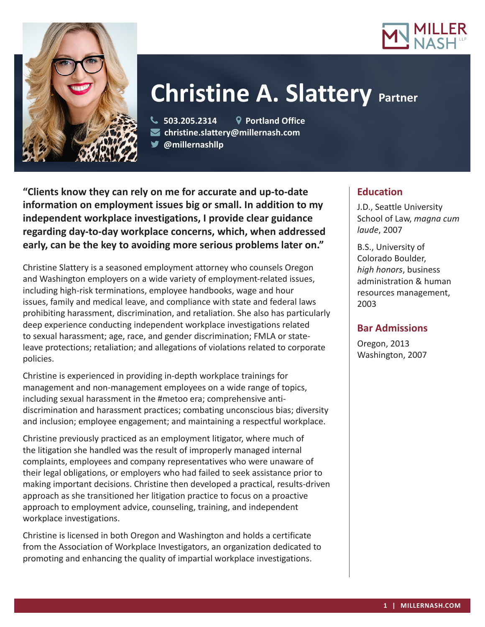



# **Christine A. Slattery Partner**

 **503.205.2314 Portland Office christine.slattery@millernash.com @millernashllp**

**"Clients know they can rely on me for accurate and up-to-date information on employment issues big or small. In addition to my independent workplace investigations, I provide clear guidance regarding day-to-day workplace concerns, which, when addressed early, can be the key to avoiding more serious problems later on."**

Christine Slattery is a seasoned employment attorney who counsels Oregon and Washington employers on a wide variety of employment-related issues, including high-risk terminations, employee handbooks, wage and hour issues, family and medical leave, and compliance with state and federal laws prohibiting harassment, discrimination, and retaliation. She also has particularly deep experience conducting independent workplace investigations related to sexual harassment; age, race, and gender discrimination; FMLA or stateleave protections; retaliation; and allegations of violations related to corporate policies.

Christine is experienced in providing in-depth workplace trainings for management and non-management employees on a wide range of topics, including sexual harassment in the #metoo era; comprehensive antidiscrimination and harassment practices; combating unconscious bias; diversity and inclusion; employee engagement; and maintaining a respectful workplace.

Christine previously practiced as an employment litigator, where much of the litigation she handled was the result of improperly managed internal complaints, employees and company representatives who were unaware of their legal obligations, or employers who had failed to seek assistance prior to making important decisions. Christine then developed a practical, results-driven approach as she transitioned her litigation practice to focus on a proactive approach to employment advice, counseling, training, and independent workplace investigations.

Christine is licensed in both Oregon and Washington and holds a certificate from the Association of Workplace Investigators, an organization dedicated to promoting and enhancing the quality of impartial workplace investigations.

## **Education**

J.D., Seattle University School of Law, *magna cum laude*, 2007

B.S., University of Colorado Boulder, *high honors*, business administration & human resources management, 2003

## **Bar Admissions**

Oregon, 2013 Washington, 2007